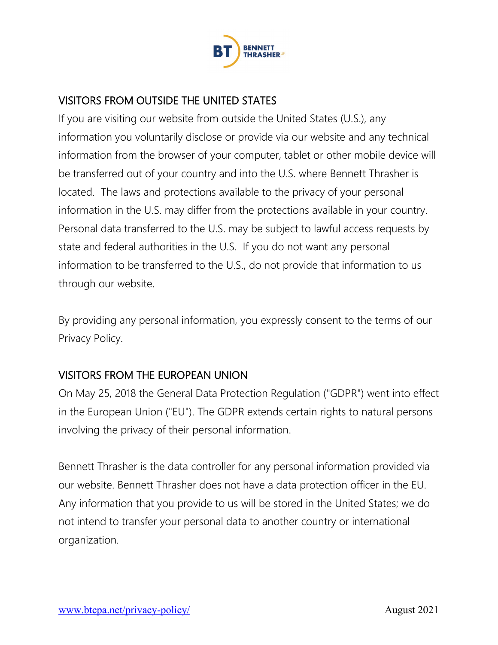

## VISITORS FROM OUTSIDE THE UNITED STATES

If you are visiting our website from outside the United States (U.S.), any information you voluntarily disclose or provide via our website and any technical information from the browser of your computer, tablet or other mobile device will be transferred out of your country and into the U.S. where Bennett Thrasher is located. The laws and protections available to the privacy of your personal information in the U.S. may differ from the protections available in your country. Personal data transferred to the U.S. may be subject to lawful access requests by state and federal authorities in the U.S. If you do not want any personal information to be transferred to the U.S., do not provide that information to us through our website.

By providing any personal information, you expressly consent to the terms of our Privacy Policy.

# VISITORS FROM THE EUROPEAN UNION

On May 25, 2018 the General Data Protection Regulation ("GDPR") went into effect in the European Union ("EU"). The GDPR extends certain rights to natural persons involving the privacy of their personal information.

Bennett Thrasher is the data controller for any personal information provided via our website. Bennett Thrasher does not have a data protection officer in the EU. Any information that you provide to us will be stored in the United States; we do not intend to transfer your personal data to another country or international organization.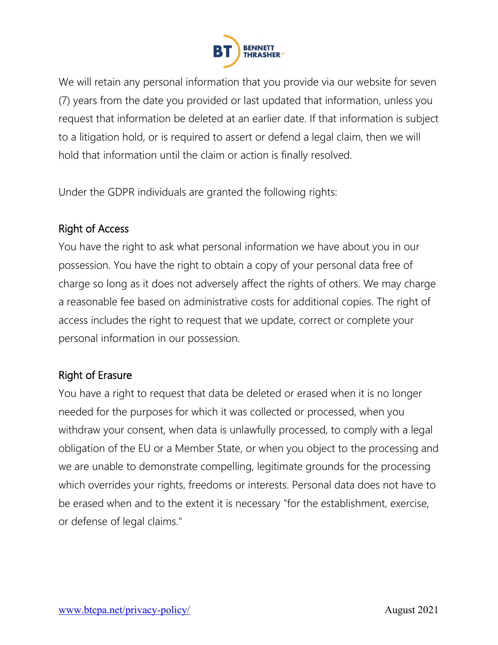

We will retain any personal information that you provide via our website for seven (7) years from the date you provided or last updated that information, unless you request that information be deleted at an earlier date. If that information is subject to a litigation hold, or is required to assert or defend a legal claim, then we will hold that information until the claim or action is finally resolved.

Under the GDPR individuals are granted the following rights:

## Right of Access

You have the right to ask what personal information we have about you in our possession. You have the right to obtain a copy of your personal data free of charge so long as it does not adversely affect the rights of others. We may charge a reasonable fee based on administrative costs for additional copies. The right of access includes the right to request that we update, correct or complete your personal information in our possession.

### Right of Erasure

You have a right to request that data be deleted or erased when it is no longer needed for the purposes for which it was collected or processed, when you withdraw your consent, when data is unlawfully processed, to comply with a legal obligation of the EU or a Member State, or when you object to the processing and we are unable to demonstrate compelling, legitimate grounds for the processing which overrides your rights, freedoms or interests. Personal data does not have to be erased when and to the extent it is necessary "for the establishment, exercise, or defense of legal claims."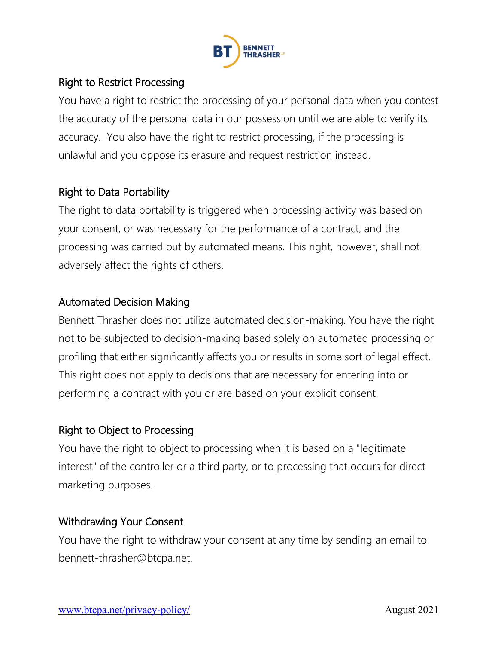

## Right to Restrict Processing

You have a right to restrict the processing of your personal data when you contest the accuracy of the personal data in our possession until we are able to verify its accuracy. You also have the right to restrict processing, if the processing is unlawful and you oppose its erasure and request restriction instead.

## Right to Data Portability

The right to data portability is triggered when processing activity was based on your consent, or was necessary for the performance of a contract, and the processing was carried out by automated means. This right, however, shall not adversely affect the rights of others.

#### Automated Decision Making

Bennett Thrasher does not utilize automated decision-making. You have the right not to be subjected to decision-making based solely on automated processing or profiling that either significantly affects you or results in some sort of legal effect. This right does not apply to decisions that are necessary for entering into or performing a contract with you or are based on your explicit consent.

### Right to Object to Processing

You have the right to object to processing when it is based on a "legitimate interest" of the controller or a third party, or to processing that occurs for direct marketing purposes.

### Withdrawing Your Consent

You have the right to withdraw your consent at any time by sending an email to bennett-thrasher@btcpa.net.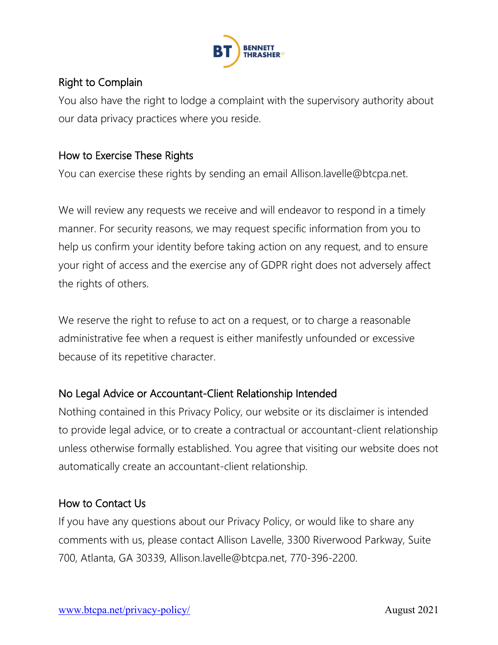

## Right to Complain

You also have the right to lodge a complaint with the supervisory authority about our data privacy practices where you reside.

### How to Exercise These Rights

You can exercise these rights by sending an email Allison.lavelle@btcpa.net.

We will review any requests we receive and will endeavor to respond in a timely manner. For security reasons, we may request specific information from you to help us confirm your identity before taking action on any request, and to ensure your right of access and the exercise any of GDPR right does not adversely affect the rights of others.

We reserve the right to refuse to act on a request, or to charge a reasonable administrative fee when a request is either manifestly unfounded or excessive because of its repetitive character.

### No Legal Advice or Accountant-Client Relationship Intended

Nothing contained in this Privacy Policy, our website or its disclaimer is intended to provide legal advice, or to create a contractual or accountant-client relationship unless otherwise formally established. You agree that visiting our website does not automatically create an accountant-client relationship.

### How to Contact Us

If you have any questions about our Privacy Policy, or would like to share any comments with us, please contact Allison Lavelle, 3300 Riverwood Parkway, Suite 700, Atlanta, GA 30339, Allison.lavelle@btcpa.net, 770-396-2200.